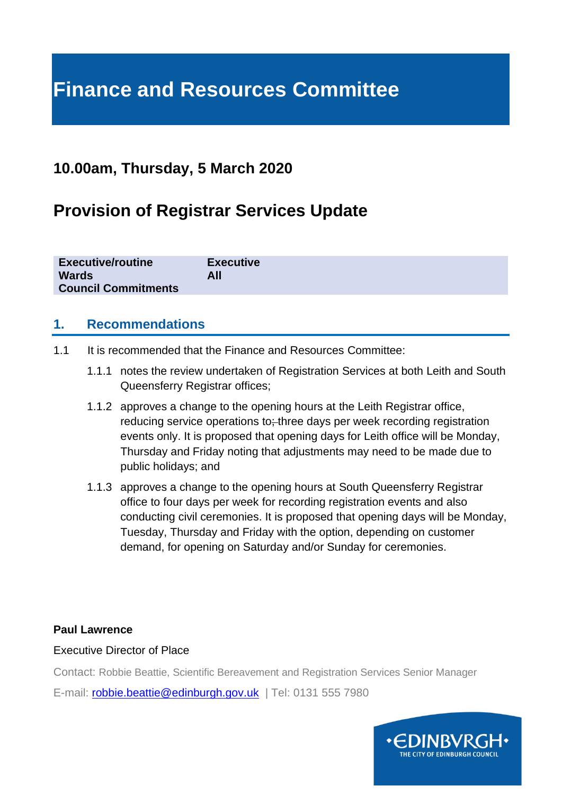# **Finance and Resources Committee**

# **10.00am, Thursday, 5 March 2020**

# **Provision of Registrar Services Update**

| <b>Executive/routine</b>   | <b>Executive</b> |
|----------------------------|------------------|
| <b>Wards</b>               | All              |
| <b>Council Commitments</b> |                  |

### **1. Recommendations**

- 1.1 It is recommended that the Finance and Resources Committee:
	- 1.1.1 notes the review undertaken of Registration Services at both Leith and South Queensferry Registrar offices;
	- 1.1.2 approves a change to the opening hours at the Leith Registrar office, reducing service operations to; three days per week recording registration events only. It is proposed that opening days for Leith office will be Monday, Thursday and Friday noting that adjustments may need to be made due to public holidays; and
	- 1.1.3 approves a change to the opening hours at South Queensferry Registrar office to four days per week for recording registration events and also conducting civil ceremonies. It is proposed that opening days will be Monday, Tuesday, Thursday and Friday with the option, depending on customer demand, for opening on Saturday and/or Sunday for ceremonies.

#### **Paul Lawrence**

#### Executive Director of Place

Contact: Robbie Beattie, Scientific Bereavement and Registration Services Senior Manager

E-mail: [robbie.beattie@edinburgh.gov.uk](mailto:robbie.beattie@edinburgh.gov.uk) | Tel: 0131 555 7980

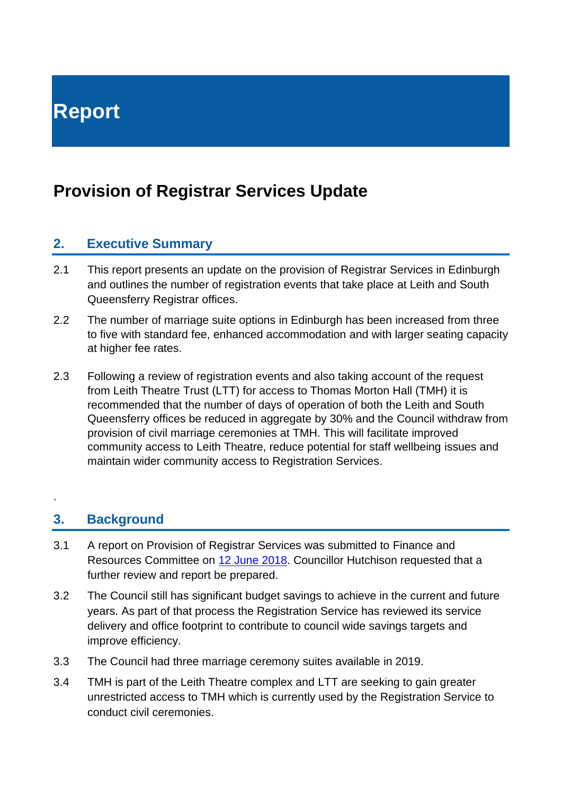# **Provision of Registrar Services Update**

# **2. Executive Summary**

- 2.1 This report presents an update on the provision of Registrar Services in Edinburgh and outlines the number of registration events that take place at Leith and South Queensferry Registrar offices.
- 2.2 The number of marriage suite options in Edinburgh has been increased from three to five with standard fee, enhanced accommodation and with larger seating capacity at higher fee rates.
- 2.3 Following a review of registration events and also taking account of the request from Leith Theatre Trust (LTT) for access to Thomas Morton Hall (TMH) it is recommended that the number of days of operation of both the Leith and South Queensferry offices be reduced in aggregate by 30% and the Council withdraw from provision of civil marriage ceremonies at TMH. This will facilitate improved community access to Leith Theatre, reduce potential for staff wellbeing issues and maintain wider community access to Registration Services.

# **3. Background**

.

- 3.1 A report on Provision of Registrar Services was submitted to Finance and Resources Committee on 12 [June 2018.](https://democracy.edinburgh.gov.uk/Data/Finance%20and%20Resources%20Committee/20180612/Agenda/item_715_-_provisions_of_registrar_services.pdf) Councillor Hutchison requested that a further review and report be prepared.
- 3.2 The Council still has significant budget savings to achieve in the current and future years. As part of that process the Registration Service has reviewed its service delivery and office footprint to contribute to council wide savings targets and improve efficiency.
- 3.3 The Council had three marriage ceremony suites available in 2019.
- 3.4 TMH is part of the Leith Theatre complex and LTT are seeking to gain greater unrestricted access to TMH which is currently used by the Registration Service to conduct civil ceremonies.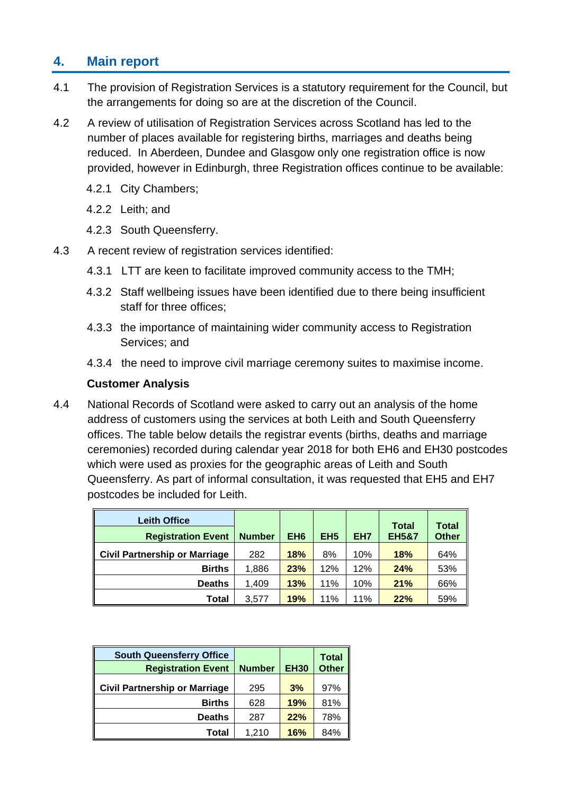# **4. Main report**

- 4.1 The provision of Registration Services is a statutory requirement for the Council, but the arrangements for doing so are at the discretion of the Council.
- 4.2 A review of utilisation of Registration Services across Scotland has led to the number of places available for registering births, marriages and deaths being reduced. In Aberdeen, Dundee and Glasgow only one registration office is now provided, however in Edinburgh, three Registration offices continue to be available:
	- 4.2.1 City Chambers;
	- 4.2.2 Leith; and
	- 4.2.3 South Queensferry.
- 4.3 A recent review of registration services identified:
	- 4.3.1 LTT are keen to facilitate improved community access to the TMH;
	- 4.3.2 Staff wellbeing issues have been identified due to there being insufficient staff for three offices;
	- 4.3.3 the importance of maintaining wider community access to Registration Services; and
	- 4.3.4 the need to improve civil marriage ceremony suites to maximise income.

#### **Customer Analysis**

4.4 National Records of Scotland were asked to carry out an analysis of the home address of customers using the services at both Leith and South Queensferry offices. The table below details the registrar events (births, deaths and marriage ceremonies) recorded during calendar year 2018 for both EH6 and EH30 postcodes which were used as proxies for the geographic areas of Leith and South Queensferry. As part of informal consultation, it was requested that EH5 and EH7 postcodes be included for Leith.

| <b>Leith Office</b>                  |               |                 |                 |     | <b>Total</b>     | <b>Total</b> |
|--------------------------------------|---------------|-----------------|-----------------|-----|------------------|--------------|
| <b>Registration Event</b>            | <b>Number</b> | EH <sub>6</sub> | EH <sub>5</sub> | EH7 | <b>EH5&amp;7</b> | <b>Other</b> |
| <b>Civil Partnership or Marriage</b> | 282           | 18%             | 8%              | 10% | 18%              | 64%          |
| <b>Births</b>                        | 1,886         | 23%             | 12%             | 12% | 24%              | 53%          |
| <b>Deaths</b>                        | 1,409         | 13%             | 11%             | 10% | 21%              | 66%          |
| <b>Total</b>                         | 3,577         | 19%             | 11%             | 11% | 22%              | 59%          |

| <b>South Queensferry Office</b><br><b>Registration Event</b> | <b>Number</b> | <b>EH30</b> | <b>Total</b><br><b>Other</b> |
|--------------------------------------------------------------|---------------|-------------|------------------------------|
| <b>Civil Partnership or Marriage</b>                         | 295           | 3%          | 97%                          |
| <b>Births</b>                                                | 628           | 19%         | 81%                          |
| <b>Deaths</b>                                                | 287           | 22%         | 78%                          |
| Total                                                        | 1.210         | 16%         | 84%                          |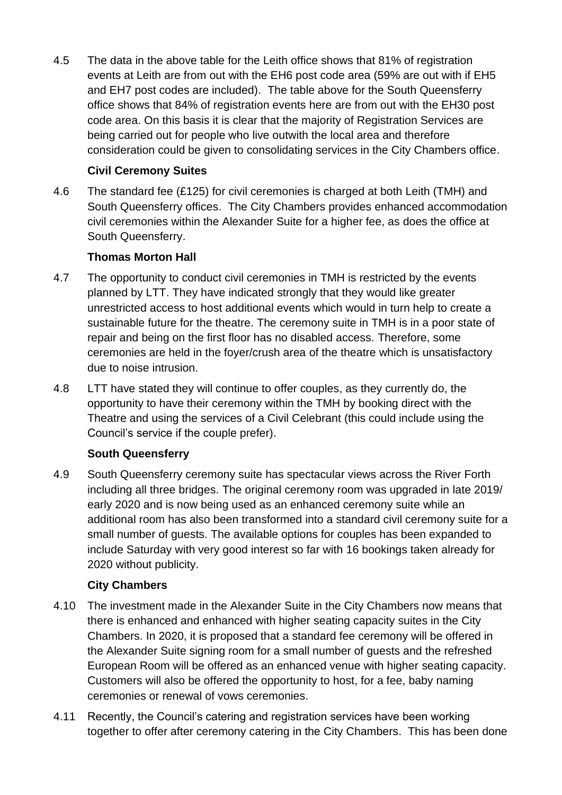4.5 The data in the above table for the Leith office shows that 81% of registration events at Leith are from out with the EH6 post code area (59% are out with if EH5 and EH7 post codes are included). The table above for the South Queensferry office shows that 84% of registration events here are from out with the EH30 post code area. On this basis it is clear that the majority of Registration Services are being carried out for people who live outwith the local area and therefore consideration could be given to consolidating services in the City Chambers office.

#### **Civil Ceremony Suites**

4.6 The standard fee (£125) for civil ceremonies is charged at both Leith (TMH) and South Queensferry offices. The City Chambers provides enhanced accommodation civil ceremonies within the Alexander Suite for a higher fee, as does the office at South Queensferry.

#### **Thomas Morton Hall**

- 4.7 The opportunity to conduct civil ceremonies in TMH is restricted by the events planned by LTT. They have indicated strongly that they would like greater unrestricted access to host additional events which would in turn help to create a sustainable future for the theatre. The ceremony suite in TMH is in a poor state of repair and being on the first floor has no disabled access. Therefore, some ceremonies are held in the foyer/crush area of the theatre which is unsatisfactory due to noise intrusion.
- 4.8 LTT have stated they will continue to offer couples, as they currently do, the opportunity to have their ceremony within the TMH by booking direct with the Theatre and using the services of a Civil Celebrant (this could include using the Council's service if the couple prefer).

# **South Queensferry**

4.9 South Queensferry ceremony suite has spectacular views across the River Forth including all three bridges. The original ceremony room was upgraded in late 2019/ early 2020 and is now being used as an enhanced ceremony suite while an additional room has also been transformed into a standard civil ceremony suite for a small number of guests. The available options for couples has been expanded to include Saturday with very good interest so far with 16 bookings taken already for 2020 without publicity.

#### **City Chambers**

- 4.10 The investment made in the Alexander Suite in the City Chambers now means that there is enhanced and enhanced with higher seating capacity suites in the City Chambers. In 2020, it is proposed that a standard fee ceremony will be offered in the Alexander Suite signing room for a small number of guests and the refreshed European Room will be offered as an enhanced venue with higher seating capacity. Customers will also be offered the opportunity to host, for a fee, baby naming ceremonies or renewal of vows ceremonies.
- 4.11 Recently, the Council's catering and registration services have been working together to offer after ceremony catering in the City Chambers. This has been done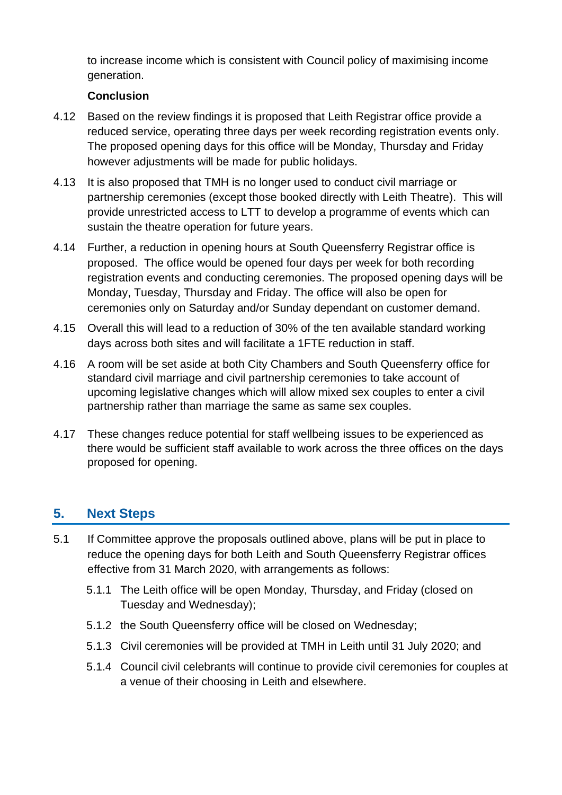to increase income which is consistent with Council policy of maximising income generation.

#### **Conclusion**

- 4.12 Based on the review findings it is proposed that Leith Registrar office provide a reduced service, operating three days per week recording registration events only. The proposed opening days for this office will be Monday, Thursday and Friday however adjustments will be made for public holidays.
- 4.13 It is also proposed that TMH is no longer used to conduct civil marriage or partnership ceremonies (except those booked directly with Leith Theatre). This will provide unrestricted access to LTT to develop a programme of events which can sustain the theatre operation for future years.
- 4.14 Further, a reduction in opening hours at South Queensferry Registrar office is proposed. The office would be opened four days per week for both recording registration events and conducting ceremonies. The proposed opening days will be Monday, Tuesday, Thursday and Friday. The office will also be open for ceremonies only on Saturday and/or Sunday dependant on customer demand.
- 4.15 Overall this will lead to a reduction of 30% of the ten available standard working days across both sites and will facilitate a 1FTE reduction in staff.
- 4.16 A room will be set aside at both City Chambers and South Queensferry office for standard civil marriage and civil partnership ceremonies to take account of upcoming legislative changes which will allow mixed sex couples to enter a civil partnership rather than marriage the same as same sex couples.
- 4.17 These changes reduce potential for staff wellbeing issues to be experienced as there would be sufficient staff available to work across the three offices on the days proposed for opening.

# **5. Next Steps**

- 5.1 If Committee approve the proposals outlined above, plans will be put in place to reduce the opening days for both Leith and South Queensferry Registrar offices effective from 31 March 2020, with arrangements as follows:
	- 5.1.1 The Leith office will be open Monday, Thursday, and Friday (closed on Tuesday and Wednesday);
	- 5.1.2 the South Queensferry office will be closed on Wednesday;
	- 5.1.3 Civil ceremonies will be provided at TMH in Leith until 31 July 2020; and
	- 5.1.4 Council civil celebrants will continue to provide civil ceremonies for couples at a venue of their choosing in Leith and elsewhere.